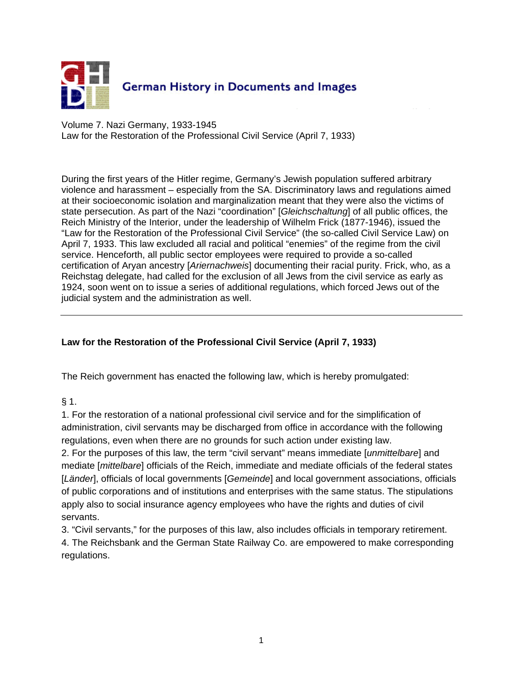

Volume 7. Nazi Germany, 1933-1945 Law for the Restoration of the Professional Civil Service (April 7, 1933)

During the first years of the Hitler regime, Germany's Jewish population suffered arbitrary violence and harassment – especially from the SA. Discriminatory laws and regulations aimed at their socioeconomic isolation and marginalization meant that they were also the victims of state persecution. As part of the Nazi "coordination" [*Gleichschaltung*] of all public offices, the Reich Ministry of the Interior, under the leadership of Wilhelm Frick (1877-1946), issued the "Law for the Restoration of the Professional Civil Service" (the so-called Civil Service Law) on April 7, 1933. This law excluded all racial and political "enemies" of the regime from the civil service. Henceforth, all public sector employees were required to provide a so-called certification of Aryan ancestry [*Ariernachweis*] documenting their racial purity. Frick, who, as a Reichstag delegate, had called for the exclusion of all Jews from the civil service as early as 1924, soon went on to issue a series of additional regulations, which forced Jews out of the judicial system and the administration as well.

#### **Law for the Restoration of the Professional Civil Service (April 7, 1933)**

The Reich government has enacted the following law, which is hereby promulgated:

 $§ 1.$ 

1. For the restoration of a national professional civil service and for the simplification of administration, civil servants may be discharged from office in accordance with the following regulations, even when there are no grounds for such action under existing law.

2. For the purposes of this law, the term "civil servant" means immediate [*unmittelbare*] and mediate [*mittelbare*] officials of the Reich, immediate and mediate officials of the federal states [*Länder*], officials of local governments [*Gemeinde*] and local government associations, officials of public corporations and of institutions and enterprises with the same status. The stipulations apply also to social insurance agency employees who have the rights and duties of civil servants.

3. "Civil servants," for the purposes of this law, also includes officials in temporary retirement. 4. The Reichsbank and the German State Railway Co. are empowered to make corresponding regulations.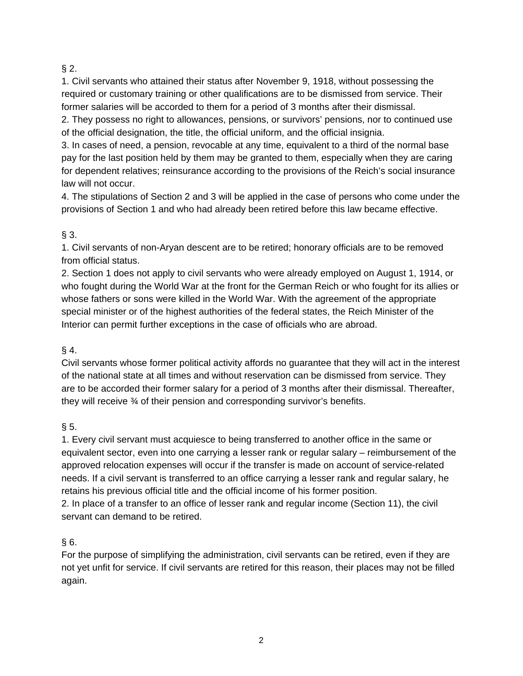## $§$  2.

1. Civil servants who attained their status after November 9, 1918, without possessing the required or customary training or other qualifications are to be dismissed from service. Their former salaries will be accorded to them for a period of 3 months after their dismissal.

2. They possess no right to allowances, pensions, or survivors' pensions, nor to continued use of the official designation, the title, the official uniform, and the official insignia.

3. In cases of need, a pension, revocable at any time, equivalent to a third of the normal base pay for the last position held by them may be granted to them, especially when they are caring for dependent relatives; reinsurance according to the provisions of the Reich's social insurance law will not occur.

4. The stipulations of Section 2 and 3 will be applied in the case of persons who come under the provisions of Section 1 and who had already been retired before this law became effective.

# § 3.

1. Civil servants of non-Aryan descent are to be retired; honorary officials are to be removed from official status.

2. Section 1 does not apply to civil servants who were already employed on August 1, 1914, or who fought during the World War at the front for the German Reich or who fought for its allies or whose fathers or sons were killed in the World War. With the agreement of the appropriate special minister or of the highest authorities of the federal states, the Reich Minister of the Interior can permit further exceptions in the case of officials who are abroad.

### $§$  4.

Civil servants whose former political activity affords no guarantee that they will act in the interest of the national state at all times and without reservation can be dismissed from service. They are to be accorded their former salary for a period of 3 months after their dismissal. Thereafter, they will receive ¾ of their pension and corresponding survivor's benefits.

### § 5.

1. Every civil servant must acquiesce to being transferred to another office in the same or equivalent sector, even into one carrying a lesser rank or regular salary – reimbursement of the approved relocation expenses will occur if the transfer is made on account of service-related needs. If a civil servant is transferred to an office carrying a lesser rank and regular salary, he retains his previous official title and the official income of his former position.

2. In place of a transfer to an office of lesser rank and regular income (Section 11), the civil servant can demand to be retired.

### $§ 6.$

For the purpose of simplifying the administration, civil servants can be retired, even if they are not yet unfit for service. If civil servants are retired for this reason, their places may not be filled again.